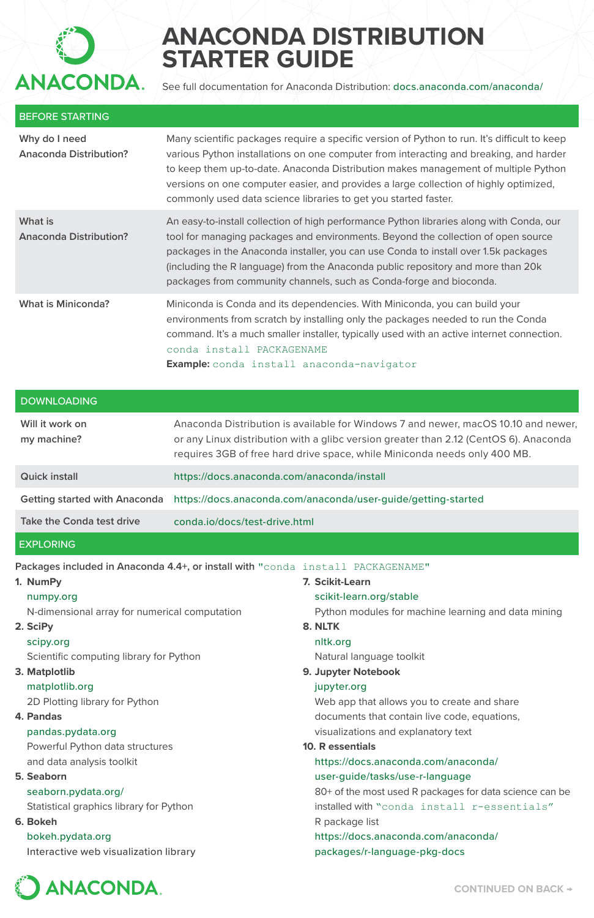

# **ANACONDA DISTRIBUTION STARTER GUIDE**

See full documentation for Anaconda Distribution: docs.anaconda.com/anaconda/

| <b>BEFORE STARTING</b>                  |                                                                                                                                                                                                                                                                                                                                                                                                                                          |
|-----------------------------------------|------------------------------------------------------------------------------------------------------------------------------------------------------------------------------------------------------------------------------------------------------------------------------------------------------------------------------------------------------------------------------------------------------------------------------------------|
| Why do I need<br>Anaconda Distribution? | Many scientific packages require a specific version of Python to run. It's difficult to keep<br>various Python installations on one computer from interacting and breaking, and harder<br>to keep them up-to-date. Anaconda Distribution makes management of multiple Python<br>versions on one computer easier, and provides a large collection of highly optimized,<br>commonly used data science libraries to get you started faster. |
| What is<br>Anaconda Distribution?       | An easy-to-install collection of high performance Python libraries along with Conda, our<br>tool for managing packages and environments. Beyond the collection of open source<br>packages in the Anaconda installer, you can use Conda to install over 1.5k packages<br>(including the R language) from the Anaconda public repository and more than 20k<br>packages from community channels, such as Conda-forge and bioconda.          |
| What is Miniconda?                      | Miniconda is Conda and its dependencies. With Miniconda, you can build your<br>environments from scratch by installing only the packages needed to run the Conda<br>command. It's a much smaller installer, typically used with an active internet connection.<br>conda install PACKAGENAME<br><b>Example:</b> conda install anaconda-navigator                                                                                          |
| <b>DOWNLOADING</b>                      |                                                                                                                                                                                                                                                                                                                                                                                                                                          |
| Will it work on<br>my machine?          | Anaconda Distribution is available for Windows 7 and newer, macOS 10.10 and newer,<br>or any Linux distribution with a glibc version greater than 2.12 (CentOS 6). Anaconda<br>requires 3GB of free hard drive space, while Miniconda needs only 400 MB.                                                                                                                                                                                 |
| <b>Quick install</b>                    | https://docs.anaconda.com/anaconda/install                                                                                                                                                                                                                                                                                                                                                                                               |
| Getting started with Anaconda           | https://docs.anaconda.com/anaconda/user-guide/getting-started                                                                                                                                                                                                                                                                                                                                                                            |
| Take the Conda test drive               | conda.jo/docs/test-drive.html                                                                                                                                                                                                                                                                                                                                                                                                            |
| <b>EXPLORING</b>                        |                                                                                                                                                                                                                                                                                                                                                                                                                                          |
| 1. NumPv                                | Packages included in Anaconda 4.4+, or install with "conda install PACKAGENAME"<br>7. Scikit-Learn                                                                                                                                                                                                                                                                                                                                       |

#### **1. NumPy**

### numpy.org

N-dimensional array for numerical computation

### **2. SciPy**

#### scipy.org

Scientific computing library for Python

## **3. Matplotlib**

matplotlib.org

2D Plotting library for Python

## **4. Pandas**

#### pandas.pydata.org

Powerful Python data structures and data analysis toolkit

## **5. Seaborn**

## seaborn.pydata.org/

Statistical graphics library for Python

## **6. Bokeh**

bokeh.pydata.org Interactive web visualization library

scikit-learn.org/stable Python modules for machine learning and data mining **8. NLTK** nltk.org Natural language toolkit **9. Jupyter Notebook** jupyter.org Web app that allows you to create and share documents that contain live code, equations, visualizations and explanatory text **10. R essentials** https://docs.anaconda.com/anaconda/ user-guide/tasks/use-r-language 80+ of the most used R packages for data science can be installed with "conda install r-essentials" R package list https://docs.anaconda.com/anaconda/ packages/r-language-pkg-docs